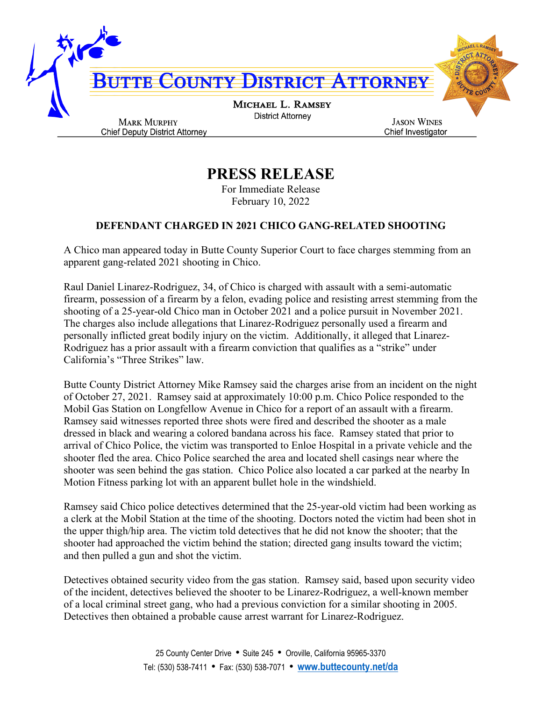

## **PRESS RELEASE**

For Immediate Release February 10, 2022

## **DEFENDANT CHARGED IN 2021 CHICO GANG-RELATED SHOOTING**

A Chico man appeared today in Butte County Superior Court to face charges stemming from an apparent gang-related 2021 shooting in Chico.

Raul Daniel Linarez-Rodriguez, 34, of Chico is charged with assault with a semi-automatic firearm, possession of a firearm by a felon, evading police and resisting arrest stemming from the shooting of a 25-year-old Chico man in October 2021 and a police pursuit in November 2021. The charges also include allegations that Linarez-Rodriguez personally used a firearm and personally inflicted great bodily injury on the victim. Additionally, it alleged that Linarez-Rodriguez has a prior assault with a firearm conviction that qualifies as a "strike" under California's "Three Strikes" law.

Butte County District Attorney Mike Ramsey said the charges arise from an incident on the night of October 27, 2021. Ramsey said at approximately 10:00 p.m. Chico Police responded to the Mobil Gas Station on Longfellow Avenue in Chico for a report of an assault with a firearm. Ramsey said witnesses reported three shots were fired and described the shooter as a male dressed in black and wearing a colored bandana across his face. Ramsey stated that prior to arrival of Chico Police, the victim was transported to Enloe Hospital in a private vehicle and the shooter fled the area. Chico Police searched the area and located shell casings near where the shooter was seen behind the gas station. Chico Police also located a car parked at the nearby In Motion Fitness parking lot with an apparent bullet hole in the windshield.

Ramsey said Chico police detectives determined that the 25-year-old victim had been working as a clerk at the Mobil Station at the time of the shooting. Doctors noted the victim had been shot in the upper thigh/hip area. The victim told detectives that he did not know the shooter; that the shooter had approached the victim behind the station; directed gang insults toward the victim; and then pulled a gun and shot the victim.

Detectives obtained security video from the gas station. Ramsey said, based upon security video of the incident, detectives believed the shooter to be Linarez-Rodriguez, a well-known member of a local criminal street gang, who had a previous conviction for a similar shooting in 2005. Detectives then obtained a probable cause arrest warrant for Linarez-Rodriguez.